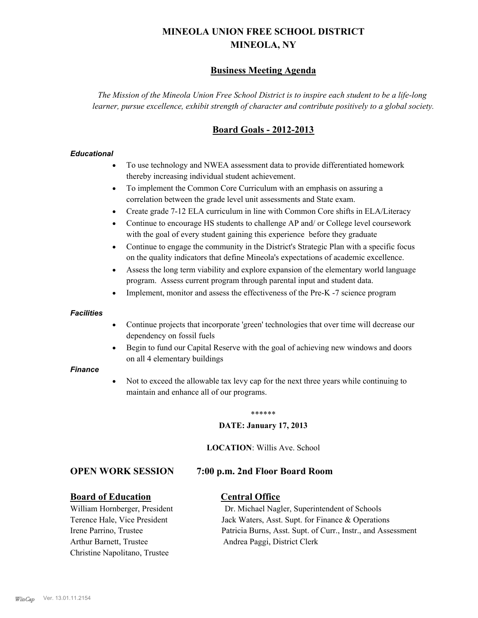# **MINEOLA UNION FREE SCHOOL DISTRICT MINEOLA, NY**

# **Business Meeting Agenda**

*The Mission of the Mineola Union Free School District is to inspire each student to be a life-long learner, pursue excellence, exhibit strength of character and contribute positively to a global society.*

# **Board Goals - 2012-2013**

#### *Educational*

- · To use technology and NWEA assessment data to provide differentiated homework thereby increasing individual student achievement.
- · To implement the Common Core Curriculum with an emphasis on assuring a correlation between the grade level unit assessments and State exam.
- Create grade 7-12 ELA curriculum in line with Common Core shifts in ELA/Literacy
- Continue to encourage HS students to challenge AP and/ or College level coursework with the goal of every student gaining this experience before they graduate
- · Continue to engage the community in the District's Strategic Plan with a specific focus on the quality indicators that define Mineola's expectations of academic excellence.
- Assess the long term viability and explore expansion of the elementary world language program. Assess current program through parental input and student data.
- Implement, monitor and assess the effectiveness of the Pre-K -7 science program

#### *Facilities*

- · Continue projects that incorporate 'green' technologies that over time will decrease our dependency on fossil fuels
- Begin to fund our Capital Reserve with the goal of achieving new windows and doors on all 4 elementary buildings

#### *Finance*

Not to exceed the allowable tax levy cap for the next three years while continuing to maintain and enhance all of our programs.

#### \*\*\*\*\*\*

#### **DATE: January 17, 2013**

**LOCATION**: Willis Ave. School

## **OPEN WORK SESSION 7:00 p.m. 2nd Floor Board Room**

## **Board of Education Central Office**

Arthur Barnett, Trustee Andrea Paggi, District Clerk Christine Napolitano, Trustee

William Hornberger, President Dr. Michael Nagler, Superintendent of Schools Terence Hale, Vice President Jack Waters, Asst. Supt. for Finance & Operations Irene Parrino, Trustee Patricia Burns, Asst. Supt. of Curr., Instr., and Assessment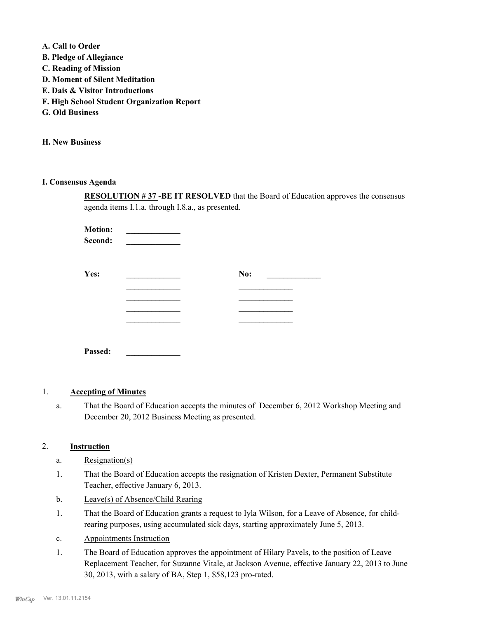**A. Call to Order** 

- **B. Pledge of Allegiance**
- **C. Reading of Mission**
- **D. Moment of Silent Meditation**
- **E. Dais & Visitor Introductions**
- **F. High School Student Organization Report**
- **G. Old Business**

**H. New Business**

**I. Consensus Agenda**

**RESOLUTION # 37 -BE IT RESOLVED** that the Board of Education approves the consensus agenda items I.1.a. through I.8.a., as presented.

**Motion: \_\_\_\_\_\_\_\_\_\_\_\_\_ Second: \_\_\_\_\_\_\_\_\_\_\_\_\_ Yes: \_\_\_\_\_\_\_\_\_\_\_\_\_ No: \_\_\_\_\_\_\_\_\_\_\_\_\_ \_\_\_\_\_\_\_\_\_\_\_\_\_ \_\_\_\_\_\_\_\_\_\_\_\_\_ \_\_\_\_\_\_\_\_\_\_\_\_\_ \_\_\_\_\_\_\_\_\_\_\_\_\_ Passed: \_\_\_\_\_\_\_\_\_\_\_\_\_**

## 1. **Accepting of Minutes**

That the Board of Education accepts the minutes of December 6, 2012 Workshop Meeting and December 20, 2012 Business Meeting as presented. a.

## 2. **Instruction**

- a. Resignation(s)
- That the Board of Education accepts the resignation of Kristen Dexter, Permanent Substitute Teacher, effective January 6, 2013. 1.
- b. Leave(s) of Absence/Child Rearing
- That the Board of Education grants a request to Iyla Wilson, for a Leave of Absence, for childrearing purposes, using accumulated sick days, starting approximately June 5, 2013. 1.
- c. Appointments Instruction
- The Board of Education approves the appointment of Hilary Pavels, to the position of Leave Replacement Teacher, for Suzanne Vitale, at Jackson Avenue, effective January 22, 2013 to June 30, 2013, with a salary of BA, Step 1, \$58,123 pro-rated. 1.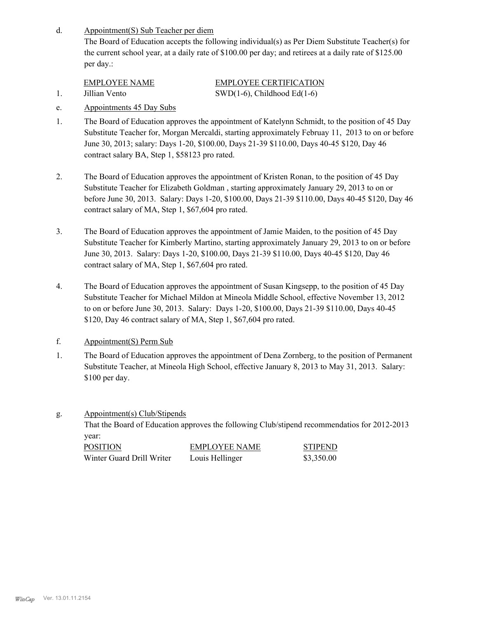Appointment(S) Sub Teacher per diem d.

> The Board of Education accepts the following individual(s) as Per Diem Substitute Teacher(s) for the current school year, at a daily rate of \$100.00 per day; and retirees at a daily rate of \$125.00 per day.:

EMPLOYEE NAME EMPLOYEE CERTIFICATION 1. Jillian Vento SWD(1-6), Childhood Ed(1-6)

- 
- e. Appointments 45 Day Subs
- The Board of Education approves the appointment of Katelynn Schmidt, to the position of 45 Day Substitute Teacher for, Morgan Mercaldi, starting approximately Februay 11, 2013 to on or before June 30, 2013; salary: Days 1-20, \$100.00, Days 21-39 \$110.00, Days 40-45 \$120, Day 46 contract salary BA, Step 1, \$58123 pro rated. 1.
- The Board of Education approves the appointment of Kristen Ronan, to the position of 45 Day Substitute Teacher for Elizabeth Goldman , starting approximately January 29, 2013 to on or before June 30, 2013. Salary: Days 1-20, \$100.00, Days 21-39 \$110.00, Days 40-45 \$120, Day 46 contract salary of MA, Step 1, \$67,604 pro rated. 2.
- The Board of Education approves the appointment of Jamie Maiden, to the position of 45 Day Substitute Teacher for Kimberly Martino, starting approximately January 29, 2013 to on or before June 30, 2013. Salary: Days 1-20, \$100.00, Days 21-39 \$110.00, Days 40-45 \$120, Day 46 contract salary of MA, Step 1, \$67,604 pro rated. 3.
- The Board of Education approves the appointment of Susan Kingsepp, to the position of 45 Day Substitute Teacher for Michael Mildon at Mineola Middle School, effective November 13, 2012 to on or before June 30, 2013. Salary: Days 1-20, \$100.00, Days 21-39 \$110.00, Days 40-45 \$120, Day 46 contract salary of MA, Step 1, \$67,604 pro rated. 4.
- f. Appointment(S) Perm Sub
- The Board of Education approves the appointment of Dena Zornberg, to the position of Permanent Substitute Teacher, at Mineola High School, effective January 8, 2013 to May 31, 2013. Salary: \$100 per day. 1.
- Appointment(s) Club/Stipends That the Board of Education approves the following Club/stipend recommendatios for 2012-2013 year: g. POSITION EMPLOYEE NAME STIPEND Winter Guard Drill Writer Louis Hellinger \$3,350.00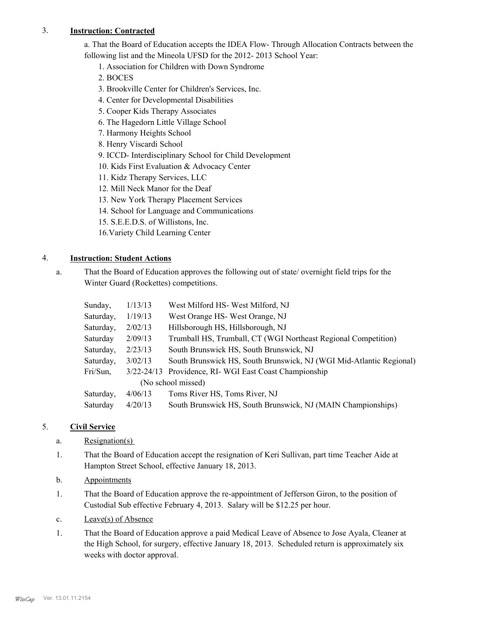## 3. **Instruction: Contracted**

a. That the Board of Education accepts the IDEA Flow- Through Allocation Contracts between the following list and the Mineola UFSD for the 2012- 2013 School Year:

1. Association for Children with Down Syndrome

- 2. BOCES
- 3. Brookville Center for Children's Services, Inc.
- 4. Center for Developmental Disabilities
- 5. Cooper Kids Therapy Associates
- 6. The Hagedorn Little Village School
- 7. Harmony Heights School
- 8. Henry Viscardi School
- 9. ICCD- Interdisciplinary School for Child Development
- 10. Kids First Evaluation & Advocacy Center
- 11. Kidz Therapy Services, LLC
- 12. Mill Neck Manor for the Deaf
- 13. New York Therapy Placement Services
- 14. School for Language and Communications
- 15. S.E.E.D.S. of Willistons, Inc.
- 16.Variety Child Learning Center

## 4. **Instruction: Student Actions**

That the Board of Education approves the following out of state/ overnight field trips for the Winter Guard (Rockettes) competitions. a.

| Sunday,            | 1/13/13        | West Milford HS- West Milford, NJ                                   |  |  |  |  |  |
|--------------------|----------------|---------------------------------------------------------------------|--|--|--|--|--|
| Saturday,          | 1/19/13        | West Orange HS-West Orange, NJ                                      |  |  |  |  |  |
| Saturday,          | 2/02/13        | Hillsborough HS, Hillsborough, NJ                                   |  |  |  |  |  |
| Saturday           | 2/09/13        | Trumball HS, Trumball, CT (WGI Northeast Regional Competition)      |  |  |  |  |  |
| Saturday,          | 2/23/13        | South Brunswick HS, South Brunswick, NJ                             |  |  |  |  |  |
| Saturday,          | 3/02/13        | South Brunswick HS, South Brunswick, NJ (WGI Mid-Atlantic Regional) |  |  |  |  |  |
| Fri/Sun,           | $3/22 - 24/13$ | Providence, RI-WGI East Coast Championship                          |  |  |  |  |  |
| (No school missed) |                |                                                                     |  |  |  |  |  |
| Saturday,          | 4/06/13        | Toms River HS, Toms River, NJ                                       |  |  |  |  |  |
| Saturday           | 4/20/13        | South Brunswick HS, South Brunswick, NJ (MAIN Championships)        |  |  |  |  |  |

## 5. **Civil Service**

- a. Resignation(s)
- That the Board of Education accept the resignation of Keri Sullivan, part time Teacher Aide at Hampton Street School, effective January 18, 2013. 1.
- b. Appointments
- That the Board of Education approve the re-appointment of Jefferson Giron, to the position of Custodial Sub effective February 4, 2013. Salary will be \$12.25 per hour. 1.
- c. Leave(s) of Absence
- That the Board of Education approve a paid Medical Leave of Absence to Jose Ayala, Cleaner at the High School, for surgery, effective January 18, 2013. Scheduled return is approximately six weeks with doctor approval. 1.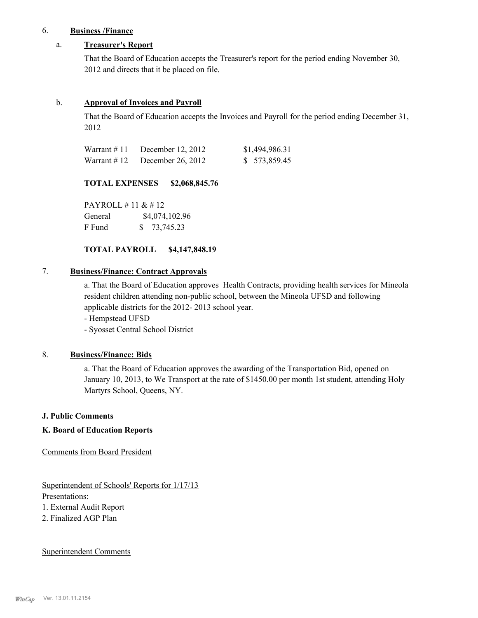## 6. **Business /Finance**

## a. **Treasurer's Report**

That the Board of Education accepts the Treasurer's report for the period ending November 30, 2012 and directs that it be placed on file.

#### b. **Approval of Invoices and Payroll**

That the Board of Education accepts the Invoices and Payroll for the period ending December 31, 2012

| Warrant #11 | December 12, 2012 | \$1,494,986.31 |
|-------------|-------------------|----------------|
| Warrant #12 | December 26, 2012 | \$ 573,859.45  |

#### **TOTAL EXPENSES \$2,068,845.76**

PAYROLL # 11 & # 12 General  $$4,074,102.96$ F Fund \$ 73,745.23

## **TOTAL PAYROLL \$4,147,848.19**

## 7. **Business/Finance: Contract Approvals**

a. That the Board of Education approves Health Contracts, providing health services for Mineola resident children attending non-public school, between the Mineola UFSD and following applicable districts for the 2012- 2013 school year.

- Hempstead UFSD

- Syosset Central School District

## 8. **Business/Finance: Bids**

a. That the Board of Education approves the awarding of the Transportation Bid, opened on January 10, 2013, to We Transport at the rate of \$1450.00 per month 1st student, attending Holy Martyrs School, Queens, NY.

#### **J. Public Comments**

## **K. Board of Education Reports**

Comments from Board President

Superintendent of Schools' Reports for 1/17/13 Presentations: 1. External Audit Report

2. Finalized AGP Plan

#### Superintendent Comments